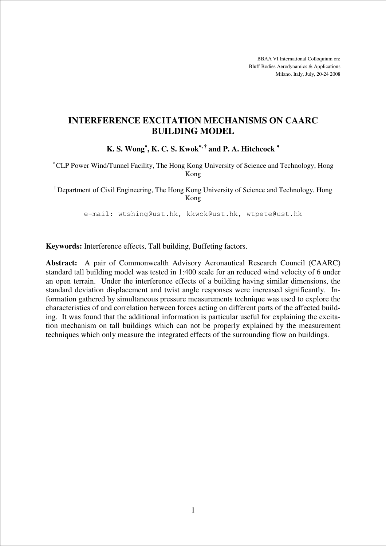BBAA VI International Colloquium on: Bluff Bodies Aerodynamics & Applications Milano, Italy, July, 20-24 2008

# **INTERFERENCE EXCITATION MECHANISMS ON CAARC BUILDING MODEL**

**K. S. Wong**<sup>∗</sup>**, K. C. S. Kwok**<sup>∗</sup>**, † and P. A. Hitchcock** <sup>∗</sup>

<sup>∗</sup>CLP Power Wind/Tunnel Facility, The Hong Kong University of Science and Technology, Hong Kong

† Department of Civil Engineering, The Hong Kong University of Science and Technology, Hong Kong

e-mail: wtshing@ust.hk, kkwok@ust.hk, wtpete@ust.hk

**Keywords:** Interference effects, Tall building, Buffeting factors.

**Abstract:** A pair of Commonwealth Advisory Aeronautical Research Council (CAARC) standard tall building model was tested in 1:400 scale for an reduced wind velocity of 6 under an open terrain. Under the interference effects of a building having similar dimensions, the standard deviation displacement and twist angle responses were increased significantly. Information gathered by simultaneous pressure measurements technique was used to explore the characteristics of and correlation between forces acting on different parts of the affected building. It was found that the additional information is particular useful for explaining the excitation mechanism on tall buildings which can not be properly explained by the measurement techniques which only measure the integrated effects of the surrounding flow on buildings.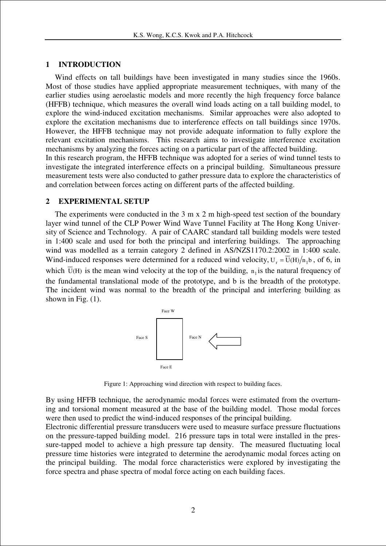#### **1 INTRODUCTION**

Wind effects on tall buildings have been investigated in many studies since the 1960s. Most of those studies have applied appropriate measurement techniques, with many of the earlier studies using aeroelastic models and more recently the high frequency force balance (HFFB) technique, which measures the overall wind loads acting on a tall building model, to explore the wind-induced excitation mechanisms. Similar approaches were also adopted to explore the excitation mechanisms due to interference effects on tall buildings since 1970s. However, the HFFB technique may not provide adequate information to fully explore the relevant excitation mechanisms. This research aims to investigate interference excitation mechanisms by analyzing the forces acting on a particular part of the affected building.

In this research program, the HFFB technique was adopted for a series of wind tunnel tests to investigate the integrated interference effects on a principal building. Simultaneous pressure measurement tests were also conducted to gather pressure data to explore the characteristics of and correlation between forces acting on different parts of the affected building.

#### **2 EXPERIMENTAL SETUP**

The experiments were conducted in the 3 m x 2 m high-speed test section of the boundary layer wind tunnel of the CLP Power Wind Wave Tunnel Facility at The Hong Kong University of Science and Technology. A pair of CAARC standard tall building models were tested in 1:400 scale and used for both the principal and interfering buildings. The approaching wind was modelled as a terrain category 2 defined in AS/NZS1170.2:2002 in 1:400 scale. Wind-induced responses were determined for a reduced wind velocity,  $U_r = \overline{U(H)} / n_1 b$ , of 6, in which  $U(H)$  is the mean wind velocity at the top of the building,  $n_1$  is the natural frequency of the fundamental translational mode of the prototype, and b is the breadth of the prototype. The incident wind was normal to the breadth of the principal and interfering building as shown in Fig. (1).



Figure 1: Approaching wind direction with respect to building faces.

By using HFFB technique, the aerodynamic modal forces were estimated from the overturning and torsional moment measured at the base of the building model. Those modal forces were then used to predict the wind-induced responses of the principal building.

Electronic differential pressure transducers were used to measure surface pressure fluctuations on the pressure-tapped building model. 216 pressure taps in total were installed in the pressure-tapped model to achieve a high pressure tap density. The measured fluctuating local pressure time histories were integrated to determine the aerodynamic modal forces acting on the principal building. The modal force characteristics were explored by investigating the force spectra and phase spectra of modal force acting on each building faces.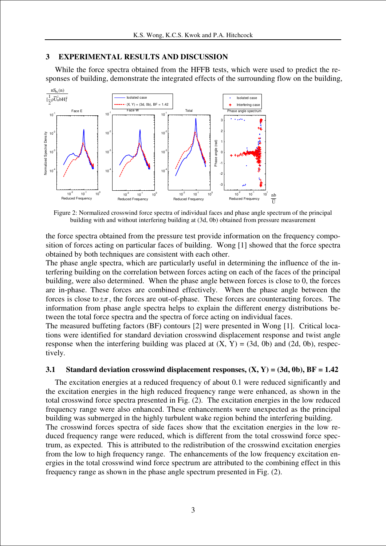#### **3 EXPERIMENTAL RESULTS AND DISCUSSION**

While the force spectra obtained from the HFFB tests, which were used to predict the responses of building, demonstrate the integrated effects of the surrounding flow on the building,



Figure 2: Normalized crosswind force spectra of individual faces and phase angle spectrum of the principal building with and without interfering building at (3d, 0b) obtained from pressure measurement

the force spectra obtained from the pressure test provide information on the frequency composition of forces acting on particular faces of building. Wong [1] showed that the force spectra obtained by both techniques are consistent with each other.

The phase angle spectra, which are particularly useful in determining the influence of the interfering building on the correlation between forces acting on each of the faces of the principal building, were also determined. When the phase angle between forces is close to 0, the forces are in-phase. These forces are combined effectively. When the phase angle between the forces is close to  $\pm \pi$ , the forces are out-of-phase. These forces are counteracting forces. The information from phase angle spectra helps to explain the different energy distributions between the total force spectra and the spectra of force acting on individual faces.

The measured buffeting factors (BF) contours [2] were presented in Wong [1]. Critical locations were identified for standard deviation crosswind displacement response and twist angle response when the interfering building was placed at  $(X, Y) = (3d, 0b)$  and  $(2d, 0b)$ , respectively.

#### **3.1 Standard deviation crosswind displacement responses, (X, Y) = (3d, 0b), BF = 1.42**

The excitation energies at a reduced frequency of about 0.1 were reduced significantly and the excitation energies in the high reduced frequency range were enhanced, as shown in the total crosswind force spectra presented in Fig. (2). The excitation energies in the low reduced frequency range were also enhanced. These enhancements were unexpected as the principal building was submerged in the highly turbulent wake region behind the interfering building. The crosswind forces spectra of side faces show that the excitation energies in the low re-

duced frequency range were reduced, which is different from the total crosswind force spectrum, as expected. This is attributed to the redistribution of the crosswind excitation energies from the low to high frequency range. The enhancements of the low frequency excitation energies in the total crosswind wind force spectrum are attributed to the combining effect in this frequency range as shown in the phase angle spectrum presented in Fig. (2).